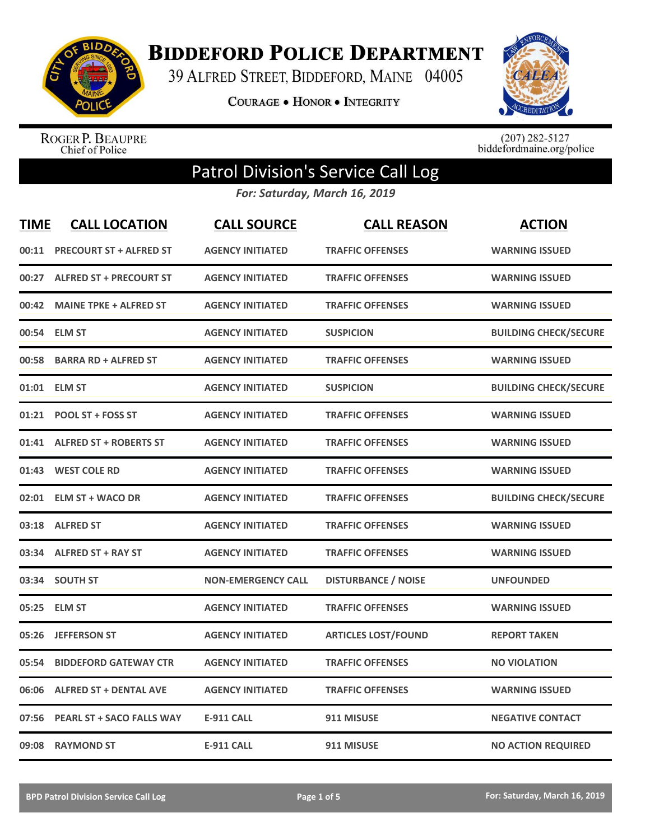

**BIDDEFORD POLICE DEPARTMENT** 

39 ALFRED STREET, BIDDEFORD, MAINE 04005

COURAGE . HONOR . INTEGRITY



ROGER P. BEAUPRE<br>Chief of Police

 $(207)$  282-5127<br>biddefordmaine.org/police

## Patrol Division's Service Call Log

*For: Saturday, March 16, 2019*

| <b>TIME</b> | <b>CALL LOCATION</b>             | <b>CALL SOURCE</b>        | <b>CALL REASON</b>         | <b>ACTION</b>                |
|-------------|----------------------------------|---------------------------|----------------------------|------------------------------|
| 00:11       | <b>PRECOURT ST + ALFRED ST</b>   | <b>AGENCY INITIATED</b>   | <b>TRAFFIC OFFENSES</b>    | <b>WARNING ISSUED</b>        |
|             | 00:27 ALFRED ST + PRECOURT ST    | <b>AGENCY INITIATED</b>   | <b>TRAFFIC OFFENSES</b>    | <b>WARNING ISSUED</b>        |
| 00:42       | <b>MAINE TPKE + ALFRED ST</b>    | <b>AGENCY INITIATED</b>   | <b>TRAFFIC OFFENSES</b>    | <b>WARNING ISSUED</b>        |
| 00:54       | <b>ELM ST</b>                    | <b>AGENCY INITIATED</b>   | <b>SUSPICION</b>           | <b>BUILDING CHECK/SECURE</b> |
| 00:58       | <b>BARRA RD + ALFRED ST</b>      | <b>AGENCY INITIATED</b>   | <b>TRAFFIC OFFENSES</b>    | <b>WARNING ISSUED</b>        |
|             | 01:01 ELM ST                     | <b>AGENCY INITIATED</b>   | <b>SUSPICION</b>           | <b>BUILDING CHECK/SECURE</b> |
| 01:21       | POOL ST + FOSS ST                | <b>AGENCY INITIATED</b>   | <b>TRAFFIC OFFENSES</b>    | <b>WARNING ISSUED</b>        |
|             | 01:41 ALFRED ST + ROBERTS ST     | <b>AGENCY INITIATED</b>   | <b>TRAFFIC OFFENSES</b>    | <b>WARNING ISSUED</b>        |
|             | 01:43 WEST COLE RD               | <b>AGENCY INITIATED</b>   | <b>TRAFFIC OFFENSES</b>    | <b>WARNING ISSUED</b>        |
| 02:01       | <b>ELM ST + WACO DR</b>          | <b>AGENCY INITIATED</b>   | <b>TRAFFIC OFFENSES</b>    | <b>BUILDING CHECK/SECURE</b> |
|             | 03:18 ALFRED ST                  | <b>AGENCY INITIATED</b>   | <b>TRAFFIC OFFENSES</b>    | <b>WARNING ISSUED</b>        |
|             | 03:34 ALFRED ST + RAY ST         | <b>AGENCY INITIATED</b>   | <b>TRAFFIC OFFENSES</b>    | <b>WARNING ISSUED</b>        |
|             | 03:34 SOUTH ST                   | <b>NON-EMERGENCY CALL</b> | <b>DISTURBANCE / NOISE</b> | <b>UNFOUNDED</b>             |
| 05:25       | <b>ELM ST</b>                    | <b>AGENCY INITIATED</b>   | <b>TRAFFIC OFFENSES</b>    | <b>WARNING ISSUED</b>        |
| 05:26       | <b>JEFFERSON ST</b>              | <b>AGENCY INITIATED</b>   | <b>ARTICLES LOST/FOUND</b> | <b>REPORT TAKEN</b>          |
| 05:54       | <b>BIDDEFORD GATEWAY CTR</b>     | <b>AGENCY INITIATED</b>   | <b>TRAFFIC OFFENSES</b>    | <b>NO VIOLATION</b>          |
| 06:06       | <b>ALFRED ST + DENTAL AVE</b>    | <b>AGENCY INITIATED</b>   | <b>TRAFFIC OFFENSES</b>    | <b>WARNING ISSUED</b>        |
| 07:56       | <b>PEARL ST + SACO FALLS WAY</b> | <b>E-911 CALL</b>         | 911 MISUSE                 | <b>NEGATIVE CONTACT</b>      |
| 09:08       | <b>RAYMOND ST</b>                | <b>E-911 CALL</b>         | 911 MISUSE                 | <b>NO ACTION REQUIRED</b>    |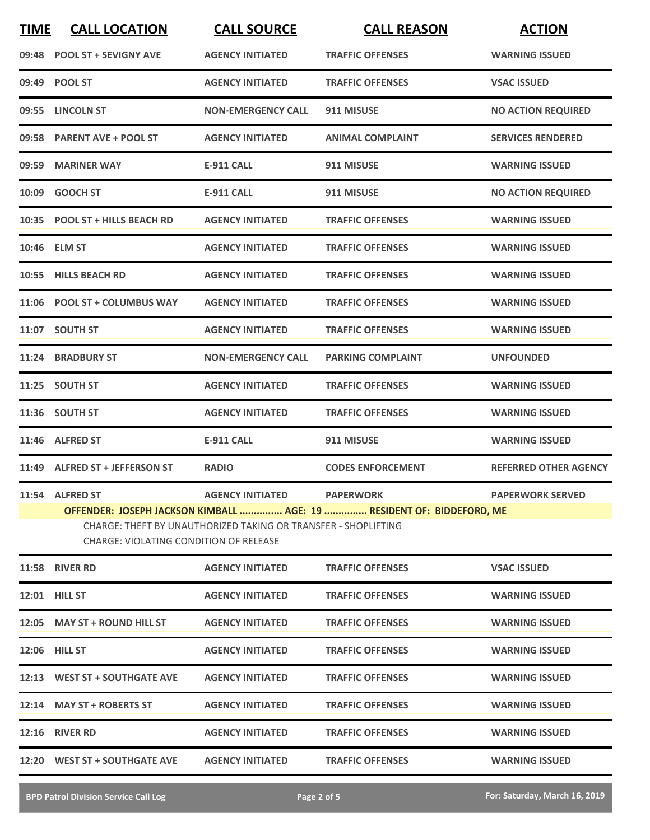| <b>TIME</b> | <b>CALL LOCATION</b>                                             | <b>CALL SOURCE</b>                                                                        | <b>CALL REASON</b>                                                                        | <b>ACTION</b>                |
|-------------|------------------------------------------------------------------|-------------------------------------------------------------------------------------------|-------------------------------------------------------------------------------------------|------------------------------|
|             | 09:48 POOL ST + SEVIGNY AVE                                      | <b>AGENCY INITIATED</b>                                                                   | <b>TRAFFIC OFFENSES</b>                                                                   | <b>WARNING ISSUED</b>        |
|             | 09:49 POOL ST                                                    | <b>AGENCY INITIATED</b>                                                                   | <b>TRAFFIC OFFENSES</b>                                                                   | <b>VSAC ISSUED</b>           |
|             | 09:55 LINCOLN ST                                                 | <b>NON-EMERGENCY CALL</b>                                                                 | 911 MISUSE                                                                                | <b>NO ACTION REQUIRED</b>    |
|             | 09:58 PARENT AVE + POOL ST                                       | <b>AGENCY INITIATED</b>                                                                   | <b>ANIMAL COMPLAINT</b>                                                                   | <b>SERVICES RENDERED</b>     |
|             | 09:59 MARINER WAY                                                | <b>E-911 CALL</b>                                                                         | 911 MISUSE                                                                                | <b>WARNING ISSUED</b>        |
|             | 10:09 GOOCH ST                                                   | <b>E-911 CALL</b>                                                                         | 911 MISUSE                                                                                | <b>NO ACTION REQUIRED</b>    |
|             | 10:35 POOL ST + HILLS BEACH RD                                   | <b>AGENCY INITIATED</b>                                                                   | <b>TRAFFIC OFFENSES</b>                                                                   | <b>WARNING ISSUED</b>        |
|             | 10:46 ELM ST                                                     | <b>AGENCY INITIATED</b>                                                                   | <b>TRAFFIC OFFENSES</b>                                                                   | <b>WARNING ISSUED</b>        |
|             | 10:55 HILLS BEACH RD                                             | <b>AGENCY INITIATED</b>                                                                   | <b>TRAFFIC OFFENSES</b>                                                                   | <b>WARNING ISSUED</b>        |
|             | 11:06 POOL ST + COLUMBUS WAY                                     | <b>AGENCY INITIATED</b>                                                                   | <b>TRAFFIC OFFENSES</b>                                                                   | <b>WARNING ISSUED</b>        |
|             | 11:07 SOUTH ST                                                   | <b>AGENCY INITIATED</b>                                                                   | <b>TRAFFIC OFFENSES</b>                                                                   | <b>WARNING ISSUED</b>        |
|             | 11:24 BRADBURY ST                                                | <b>NON-EMERGENCY CALL</b>                                                                 | <b>PARKING COMPLAINT</b>                                                                  | <b>UNFOUNDED</b>             |
|             | 11:25 SOUTH ST                                                   | <b>AGENCY INITIATED</b>                                                                   | <b>TRAFFIC OFFENSES</b>                                                                   | <b>WARNING ISSUED</b>        |
|             | 11:36 SOUTH ST                                                   | <b>AGENCY INITIATED</b>                                                                   | <b>TRAFFIC OFFENSES</b>                                                                   | <b>WARNING ISSUED</b>        |
|             | 11:46 ALFRED ST                                                  | <b>E-911 CALL</b>                                                                         | 911 MISUSE                                                                                | <b>WARNING ISSUED</b>        |
|             | 11:49 ALFRED ST + JEFFERSON ST                                   | <b>RADIO</b>                                                                              | <b>CODES ENFORCEMENT</b>                                                                  | <b>REFERRED OTHER AGENCY</b> |
|             | 11:54 ALFRED ST<br><b>CHARGE: VIOLATING CONDITION OF RELEASE</b> | <b>AGENCY INITIATED</b><br>CHARGE: THEFT BY UNAUTHORIZED TAKING OR TRANSFER - SHOPLIFTING | <b>PAPERWORK</b><br>OFFENDER: JOSEPH JACKSON KIMBALL  AGE: 19  RESIDENT OF: BIDDEFORD, ME | <b>PAPERWORK SERVED</b>      |
|             | <b>11:58 RIVER RD</b>                                            | <b>AGENCY INITIATED</b>                                                                   | <b>TRAFFIC OFFENSES</b>                                                                   | <b>VSAC ISSUED</b>           |
|             | 12:01 HILL ST                                                    | <b>AGENCY INITIATED</b>                                                                   | <b>TRAFFIC OFFENSES</b>                                                                   | <b>WARNING ISSUED</b>        |
|             | 12:05 MAY ST + ROUND HILL ST                                     | <b>AGENCY INITIATED</b>                                                                   | <b>TRAFFIC OFFENSES</b>                                                                   | <b>WARNING ISSUED</b>        |
|             | <b>12:06 HILL ST</b>                                             | <b>AGENCY INITIATED</b>                                                                   | <b>TRAFFIC OFFENSES</b>                                                                   | <b>WARNING ISSUED</b>        |
|             | 12:13 WEST ST + SOUTHGATE AVE                                    | <b>AGENCY INITIATED</b>                                                                   | <b>TRAFFIC OFFENSES</b>                                                                   | <b>WARNING ISSUED</b>        |
|             | 12:14 MAY ST + ROBERTS ST                                        | <b>AGENCY INITIATED</b>                                                                   | <b>TRAFFIC OFFENSES</b>                                                                   | <b>WARNING ISSUED</b>        |
|             | <b>12:16 RIVER RD</b>                                            | <b>AGENCY INITIATED</b>                                                                   | <b>TRAFFIC OFFENSES</b>                                                                   | <b>WARNING ISSUED</b>        |
|             | 12:20 WEST ST + SOUTHGATE AVE                                    | <b>AGENCY INITIATED</b>                                                                   | <b>TRAFFIC OFFENSES</b>                                                                   | <b>WARNING ISSUED</b>        |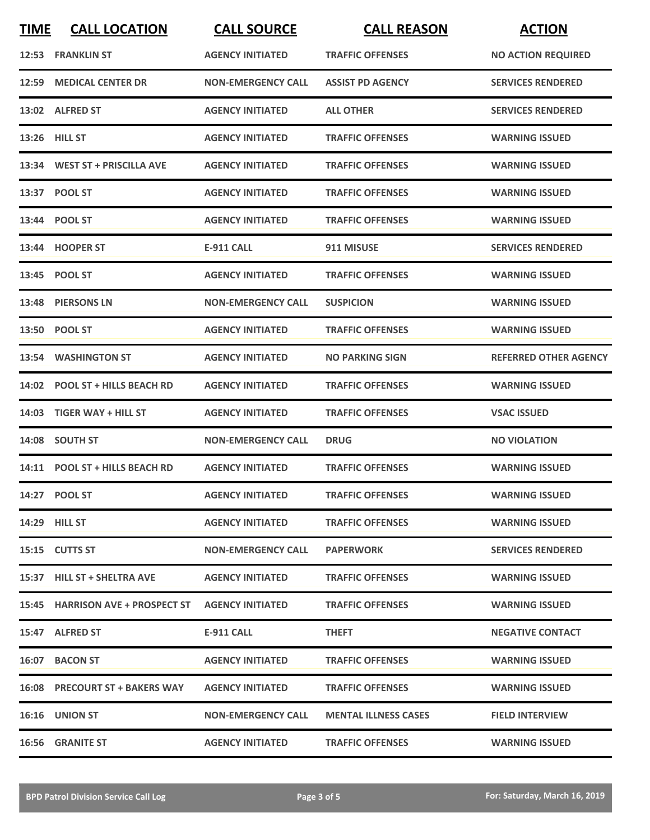| <b>TIME</b> | <b>CALL LOCATION</b>            | <b>CALL SOURCE</b>        | <b>CALL REASON</b>          | <b>ACTION</b>                |
|-------------|---------------------------------|---------------------------|-----------------------------|------------------------------|
|             | 12:53 FRANKLIN ST               | <b>AGENCY INITIATED</b>   | <b>TRAFFIC OFFENSES</b>     | <b>NO ACTION REQUIRED</b>    |
| 12:59       | <b>MEDICAL CENTER DR</b>        | <b>NON-EMERGENCY CALL</b> | <b>ASSIST PD AGENCY</b>     | <b>SERVICES RENDERED</b>     |
|             | 13:02 ALFRED ST                 | <b>AGENCY INITIATED</b>   | <b>ALL OTHER</b>            | <b>SERVICES RENDERED</b>     |
|             | 13:26 HILL ST                   | <b>AGENCY INITIATED</b>   | <b>TRAFFIC OFFENSES</b>     | <b>WARNING ISSUED</b>        |
|             | 13:34 WEST ST + PRISCILLA AVE   | <b>AGENCY INITIATED</b>   | <b>TRAFFIC OFFENSES</b>     | <b>WARNING ISSUED</b>        |
|             | 13:37 POOL ST                   | <b>AGENCY INITIATED</b>   | <b>TRAFFIC OFFENSES</b>     | <b>WARNING ISSUED</b>        |
|             | 13:44 POOL ST                   | <b>AGENCY INITIATED</b>   | <b>TRAFFIC OFFENSES</b>     | <b>WARNING ISSUED</b>        |
|             | 13:44 HOOPER ST                 | <b>E-911 CALL</b>         | 911 MISUSE                  | <b>SERVICES RENDERED</b>     |
|             | 13:45 POOL ST                   | <b>AGENCY INITIATED</b>   | <b>TRAFFIC OFFENSES</b>     | <b>WARNING ISSUED</b>        |
|             | 13:48 PIERSONS LN               | <b>NON-EMERGENCY CALL</b> | <b>SUSPICION</b>            | <b>WARNING ISSUED</b>        |
|             | 13:50 POOL ST                   | <b>AGENCY INITIATED</b>   | <b>TRAFFIC OFFENSES</b>     | <b>WARNING ISSUED</b>        |
|             | 13:54 WASHINGTON ST             | <b>AGENCY INITIATED</b>   | <b>NO PARKING SIGN</b>      | <b>REFERRED OTHER AGENCY</b> |
| 14:02       | <b>POOL ST + HILLS BEACH RD</b> | <b>AGENCY INITIATED</b>   | <b>TRAFFIC OFFENSES</b>     | <b>WARNING ISSUED</b>        |
|             | 14:03 TIGER WAY + HILL ST       | <b>AGENCY INITIATED</b>   | <b>TRAFFIC OFFENSES</b>     | <b>VSAC ISSUED</b>           |
|             | 14:08 SOUTH ST                  | <b>NON-EMERGENCY CALL</b> | <b>DRUG</b>                 | <b>NO VIOLATION</b>          |
|             | 14:11 POOL ST + HILLS BEACH RD  | <b>AGENCY INITIATED</b>   | <b>TRAFFIC OFFENSES</b>     | <b>WARNING ISSUED</b>        |
|             | 14:27 POOL ST                   | <b>AGENCY INITIATED</b>   | <b>TRAFFIC OFFENSES</b>     | <b>WARNING ISSUED</b>        |
|             | 14:29 HILL ST                   | <b>AGENCY INITIATED</b>   | <b>TRAFFIC OFFENSES</b>     | <b>WARNING ISSUED</b>        |
|             | 15:15 CUTTS ST                  | <b>NON-EMERGENCY CALL</b> | <b>PAPERWORK</b>            | <b>SERVICES RENDERED</b>     |
|             | 15:37 HILL ST + SHELTRA AVE     | <b>AGENCY INITIATED</b>   | <b>TRAFFIC OFFENSES</b>     | <b>WARNING ISSUED</b>        |
|             |                                 |                           | <b>TRAFFIC OFFENSES</b>     | <b>WARNING ISSUED</b>        |
|             | 15:47 ALFRED ST                 | E-911 CALL                | <b>THEFT</b>                | <b>NEGATIVE CONTACT</b>      |
|             | 16:07 BACON ST                  | <b>AGENCY INITIATED</b>   | <b>TRAFFIC OFFENSES</b>     | <b>WARNING ISSUED</b>        |
|             | 16:08 PRECOURT ST + BAKERS WAY  | <b>AGENCY INITIATED</b>   | <b>TRAFFIC OFFENSES</b>     | <b>WARNING ISSUED</b>        |
|             | <b>16:16 UNION ST</b>           | <b>NON-EMERGENCY CALL</b> | <b>MENTAL ILLNESS CASES</b> | <b>FIELD INTERVIEW</b>       |
|             | <b>16:56 GRANITE ST</b>         | <b>AGENCY INITIATED</b>   | <b>TRAFFIC OFFENSES</b>     | <b>WARNING ISSUED</b>        |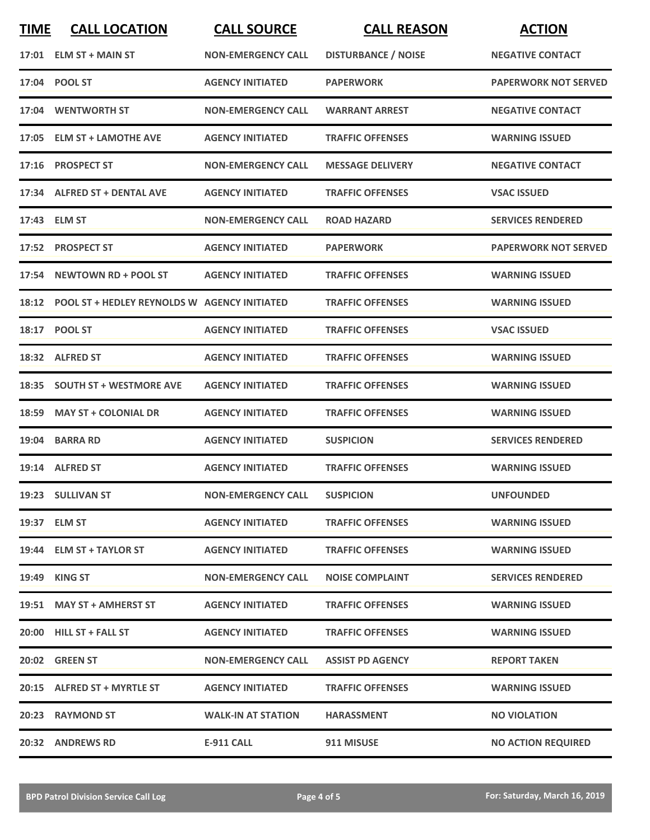| <b>TIME</b> | <b>CALL LOCATION</b>                               | <b>CALL SOURCE</b>        | <b>CALL REASON</b>         | <b>ACTION</b>               |
|-------------|----------------------------------------------------|---------------------------|----------------------------|-----------------------------|
|             | $17:01$ ELM ST + MAIN ST                           | <b>NON-EMERGENCY CALL</b> | <b>DISTURBANCE / NOISE</b> | <b>NEGATIVE CONTACT</b>     |
|             | 17:04 POOL ST                                      | <b>AGENCY INITIATED</b>   | <b>PAPERWORK</b>           | <b>PAPERWORK NOT SERVED</b> |
|             | 17:04 WENTWORTH ST                                 | <b>NON-EMERGENCY CALL</b> | <b>WARRANT ARREST</b>      | <b>NEGATIVE CONTACT</b>     |
|             | 17:05 ELM ST + LAMOTHE AVE                         | <b>AGENCY INITIATED</b>   | <b>TRAFFIC OFFENSES</b>    | <b>WARNING ISSUED</b>       |
|             | 17:16 PROSPECT ST                                  | <b>NON-EMERGENCY CALL</b> | <b>MESSAGE DELIVERY</b>    | <b>NEGATIVE CONTACT</b>     |
|             | 17:34 ALFRED ST + DENTAL AVE                       | <b>AGENCY INITIATED</b>   | <b>TRAFFIC OFFENSES</b>    | <b>VSAC ISSUED</b>          |
|             | 17:43 ELM ST                                       | <b>NON-EMERGENCY CALL</b> | <b>ROAD HAZARD</b>         | <b>SERVICES RENDERED</b>    |
|             | 17:52 PROSPECT ST                                  | <b>AGENCY INITIATED</b>   | <b>PAPERWORK</b>           | <b>PAPERWORK NOT SERVED</b> |
| 17:54       | <b>NEWTOWN RD + POOL ST</b>                        | <b>AGENCY INITIATED</b>   | <b>TRAFFIC OFFENSES</b>    | <b>WARNING ISSUED</b>       |
|             | 18:12 POOL ST + HEDLEY REYNOLDS W AGENCY INITIATED |                           | <b>TRAFFIC OFFENSES</b>    | <b>WARNING ISSUED</b>       |
|             | 18:17 POOL ST                                      | <b>AGENCY INITIATED</b>   | <b>TRAFFIC OFFENSES</b>    | <b>VSAC ISSUED</b>          |
|             | 18:32 ALFRED ST                                    | <b>AGENCY INITIATED</b>   | <b>TRAFFIC OFFENSES</b>    | <b>WARNING ISSUED</b>       |
| 18:35       | <b>SOUTH ST + WESTMORE AVE</b>                     | <b>AGENCY INITIATED</b>   | <b>TRAFFIC OFFENSES</b>    | <b>WARNING ISSUED</b>       |
| 18:59       | <b>MAY ST + COLONIAL DR</b>                        | <b>AGENCY INITIATED</b>   | <b>TRAFFIC OFFENSES</b>    | <b>WARNING ISSUED</b>       |
| 19:04       | <b>BARRA RD</b>                                    | <b>AGENCY INITIATED</b>   | <b>SUSPICION</b>           | <b>SERVICES RENDERED</b>    |
|             | 19:14 ALFRED ST                                    | <b>AGENCY INITIATED</b>   | <b>TRAFFIC OFFENSES</b>    | <b>WARNING ISSUED</b>       |
|             | 19:23 SULLIVAN ST                                  | <b>NON-EMERGENCY CALL</b> | <b>SUSPICION</b>           | <b>UNFOUNDED</b>            |
|             | 19:37 ELM ST                                       | <b>AGENCY INITIATED</b>   | <b>TRAFFIC OFFENSES</b>    | <b>WARNING ISSUED</b>       |
|             | 19:44 ELM ST + TAYLOR ST                           | <b>AGENCY INITIATED</b>   | <b>TRAFFIC OFFENSES</b>    | <b>WARNING ISSUED</b>       |
|             | 19:49 KING ST                                      | <b>NON-EMERGENCY CALL</b> | <b>NOISE COMPLAINT</b>     | <b>SERVICES RENDERED</b>    |
|             | 19:51 MAY ST + AMHERST ST                          | <b>AGENCY INITIATED</b>   | <b>TRAFFIC OFFENSES</b>    | <b>WARNING ISSUED</b>       |
|             | 20:00 HILL ST + FALL ST                            | <b>AGENCY INITIATED</b>   | <b>TRAFFIC OFFENSES</b>    | <b>WARNING ISSUED</b>       |
|             | 20:02 GREEN ST                                     | <b>NON-EMERGENCY CALL</b> | <b>ASSIST PD AGENCY</b>    | <b>REPORT TAKEN</b>         |
|             | 20:15 ALFRED ST + MYRTLE ST                        | <b>AGENCY INITIATED</b>   | <b>TRAFFIC OFFENSES</b>    | <b>WARNING ISSUED</b>       |
|             | 20:23 RAYMOND ST                                   | <b>WALK-IN AT STATION</b> | <b>HARASSMENT</b>          | <b>NO VIOLATION</b>         |
|             | 20:32 ANDREWS RD                                   | <b>E-911 CALL</b>         | 911 MISUSE                 | <b>NO ACTION REQUIRED</b>   |